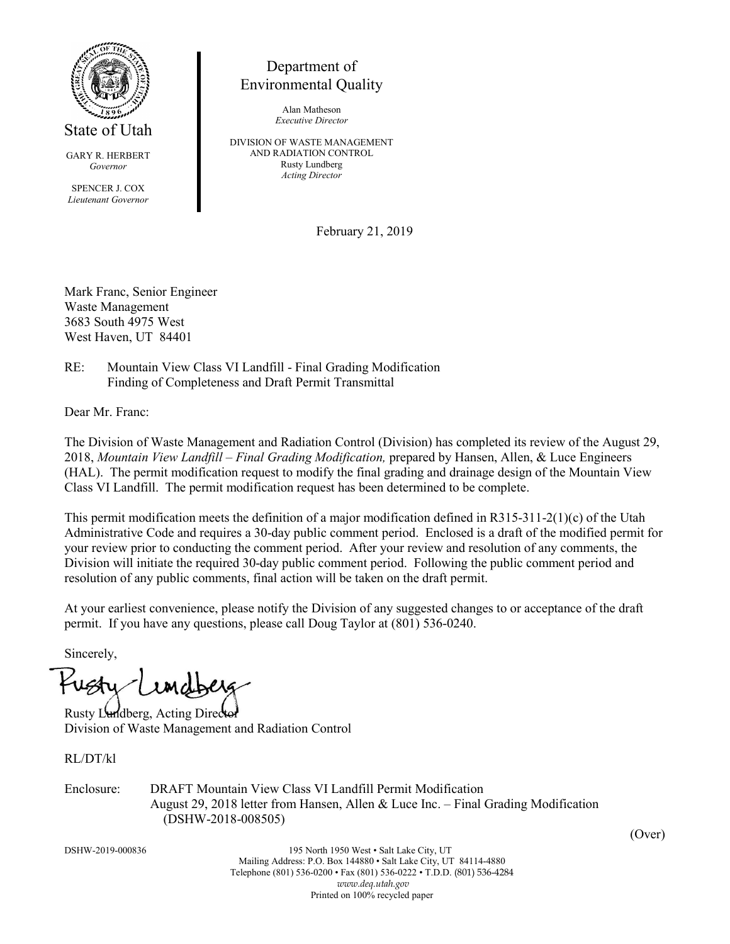

GARY R. HERBERT *Governor*

SPENCER J. COX *Lieutenant Governor*

## Department of Environmental Quality

Alan Matheson *Executive Director*

DIVISION OF WASTE MANAGEMENT AND RADIATION CONTROL Rusty Lundberg *Acting Director*

February 21, 2019

Mark Franc, Senior Engineer Waste Management 3683 South 4975 West West Haven, UT 84401

RE: Mountain View Class VI Landfill - Final Grading Modification Finding of Completeness and Draft Permit Transmittal

Dear Mr. Franc:

The Division of Waste Management and Radiation Control (Division) has completed its review of the August 29, 2018, *Mountain View Landfill – Final Grading Modification,* prepared by Hansen, Allen, & Luce Engineers (HAL). The permit modification request to modify the final grading and drainage design of the Mountain View Class VI Landfill. The permit modification request has been determined to be complete.

This permit modification meets the definition of a major modification defined in R315-311-2(1)(c) of the Utah Administrative Code and requires a 30-day public comment period. Enclosed is a draft of the modified permit for your review prior to conducting the comment period. After your review and resolution of any comments, the Division will initiate the required 30-day public comment period. Following the public comment period and resolution of any public comments, final action will be taken on the draft permit.

At your earliest convenience, please notify the Division of any suggested changes to or acceptance of the draft permit. If you have any questions, please call Doug Taylor at (801) 536-0240.

Sincerely,

Rusty Lundberg, Acting Dire Division of Waste Management and Radiation Control

RL/DT/kl

Enclosure: DRAFT Mountain View Class VI Landfill Permit Modification August 29, 2018 letter from Hansen, Allen & Luce Inc. – Final Grading Modification (DSHW-2018-008505)

DSHW-2019-000836 195 North 1950 West • Salt Lake City, UT Mailing Address: P.O. Box 144880 • Salt Lake City, UT 84114-4880 Telephone (801) 536-0200 • Fax (801) 536-0222 • T.D.D. (801) 536-4284 *www.deq.utah.gov* Printed on 100% recycled paper

(Over)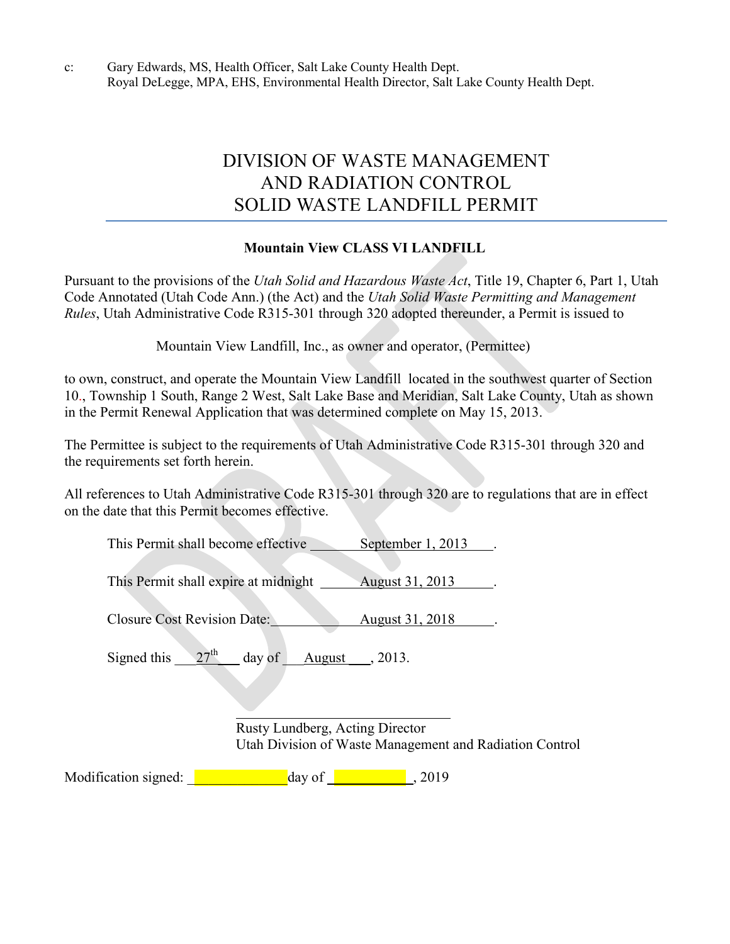c: Gary Edwards, MS, Health Officer, Salt Lake County Health Dept. Royal DeLegge, MPA, EHS, Environmental Health Director, Salt Lake County Health Dept.

# DIVISION OF WASTE MANAGEMENT AND RADIATION CONTROL SOLID WASTE LANDFILL PERMIT

## **Mountain View CLASS VI LANDFILL**

Pursuant to the provisions of the *Utah Solid and Hazardous Waste Act*, Title 19, Chapter 6, Part 1, Utah Code Annotated (Utah Code Ann.) (the Act) and the *Utah Solid Waste Permitting and Management Rules*, Utah Administrative Code R315-301 through 320 adopted thereunder, a Permit is issued to

Mountain View Landfill, Inc., as owner and operator, (Permittee)

to own, construct, and operate the Mountain View Landfill located in the southwest quarter of Section 10., Township 1 South, Range 2 West, Salt Lake Base and Meridian, Salt Lake County, Utah as shown in the Permit Renewal Application that was determined complete on May 15, 2013.

The Permittee is subject to the requirements of Utah Administrative Code R315-301 through 320 and the requirements set forth herein.

All references to Utah Administrative Code R315-301 through 320 are to regulations that are in effect on the date that this Permit becomes effective.

This Permit shall become effective September 1, 2013.

This Permit shall expire at midnight August 31, 2013.

Closure Cost Revision Date: August 31, 2018

Signed this  $27<sup>th</sup>$  day of August , 2013.

Rusty Lundberg, Acting Director Utah Division of Waste Management and Radiation Control

Modification signed: <u>\_\_\_\_\_\_\_\_\_\_\_\_\_\_</u>day of \_\_\_\_\_\_\_\_\_\_\_\_\_\_\_\_, 2019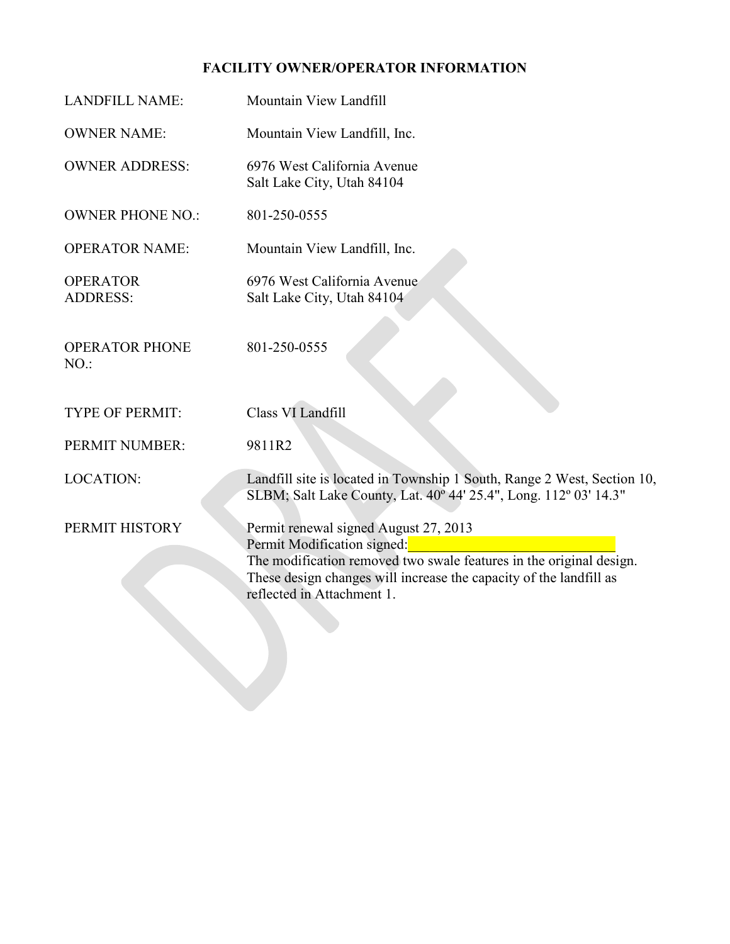## **FACILITY OWNER/OPERATOR INFORMATION**

| <b>LANDFILL NAME:</b>              | Mountain View Landfill                                                                                                                                                                                                                          |
|------------------------------------|-------------------------------------------------------------------------------------------------------------------------------------------------------------------------------------------------------------------------------------------------|
| <b>OWNER NAME:</b>                 | Mountain View Landfill, Inc.                                                                                                                                                                                                                    |
| <b>OWNER ADDRESS:</b>              | 6976 West California Avenue<br>Salt Lake City, Utah 84104                                                                                                                                                                                       |
| <b>OWNER PHONE NO.:</b>            | 801-250-0555                                                                                                                                                                                                                                    |
| <b>OPERATOR NAME:</b>              | Mountain View Landfill, Inc.                                                                                                                                                                                                                    |
| <b>OPERATOR</b><br><b>ADDRESS:</b> | 6976 West California Avenue<br>Salt Lake City, Utah 84104                                                                                                                                                                                       |
| <b>OPERATOR PHONE</b><br>$NO.$ :   | 801-250-0555                                                                                                                                                                                                                                    |
| <b>TYPE OF PERMIT:</b>             | Class VI Landfill                                                                                                                                                                                                                               |
| PERMIT NUMBER:                     | 9811R2                                                                                                                                                                                                                                          |
| <b>LOCATION:</b>                   | Landfill site is located in Township 1 South, Range 2 West, Section 10,<br>SLBM; Salt Lake County, Lat. 40° 44' 25.4", Long. 112° 03' 14.3"                                                                                                     |
| PERMIT HISTORY                     | Permit renewal signed August 27, 2013<br>Permit Modification signed:<br>The modification removed two swale features in the original design.<br>These design changes will increase the capacity of the landfill as<br>reflected in Attachment 1. |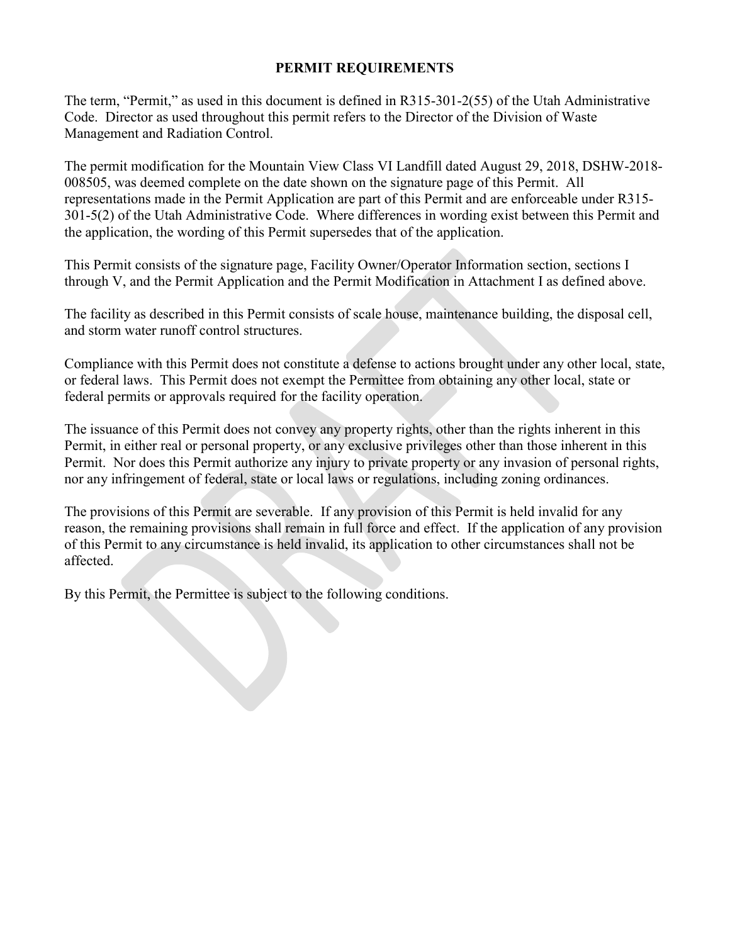### **PERMIT REQUIREMENTS**

The term, "Permit," as used in this document is defined in R315-301-2(55) of the Utah Administrative Code. Director as used throughout this permit refers to the Director of the Division of Waste Management and Radiation Control.

The permit modification for the Mountain View Class VI Landfill dated August 29, 2018, DSHW-2018- 008505, was deemed complete on the date shown on the signature page of this Permit. All representations made in the Permit Application are part of this Permit and are enforceable under R315- 301-5(2) of the Utah Administrative Code. Where differences in wording exist between this Permit and the application, the wording of this Permit supersedes that of the application.

This Permit consists of the signature page, Facility Owner/Operator Information section, sections I through V, and the Permit Application and the Permit Modification in Attachment I as defined above.

The facility as described in this Permit consists of scale house, maintenance building, the disposal cell, and storm water runoff control structures.

Compliance with this Permit does not constitute a defense to actions brought under any other local, state, or federal laws. This Permit does not exempt the Permittee from obtaining any other local, state or federal permits or approvals required for the facility operation.

The issuance of this Permit does not convey any property rights, other than the rights inherent in this Permit, in either real or personal property, or any exclusive privileges other than those inherent in this Permit. Nor does this Permit authorize any injury to private property or any invasion of personal rights, nor any infringement of federal, state or local laws or regulations, including zoning ordinances.

The provisions of this Permit are severable. If any provision of this Permit is held invalid for any reason, the remaining provisions shall remain in full force and effect. If the application of any provision of this Permit to any circumstance is held invalid, its application to other circumstances shall not be affected.

By this Permit, the Permittee is subject to the following conditions.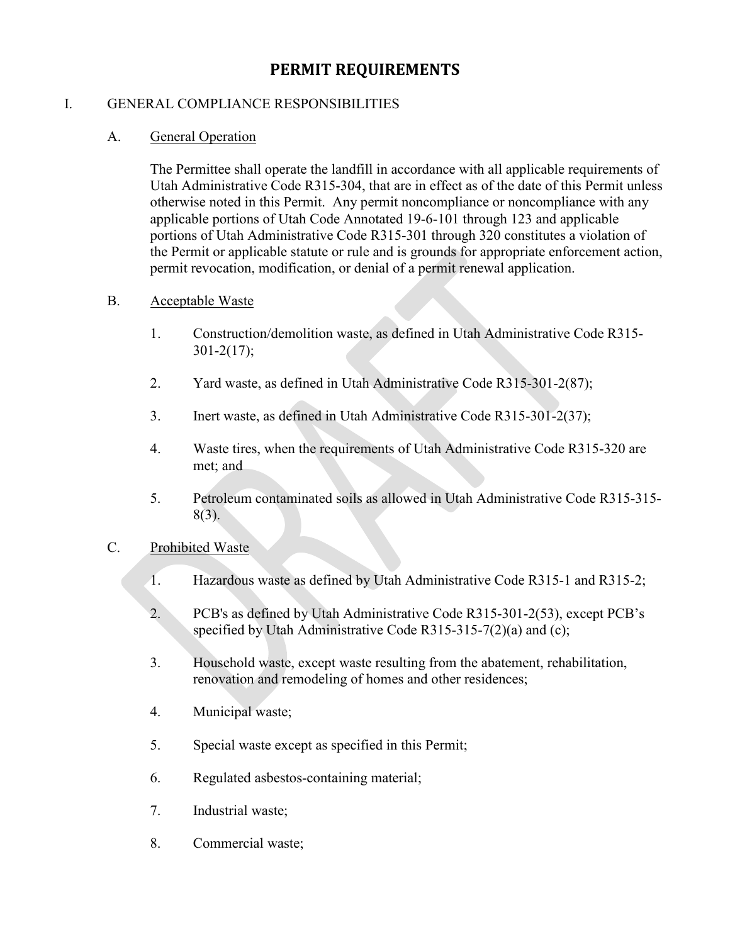## **PERMIT REQUIREMENTS**

#### I. GENERAL COMPLIANCE RESPONSIBILITIES

#### A. General Operation

The Permittee shall operate the landfill in accordance with all applicable requirements of Utah Administrative Code R315-304, that are in effect as of the date of this Permit unless otherwise noted in this Permit. Any permit noncompliance or noncompliance with any applicable portions of Utah Code Annotated 19-6-101 through 123 and applicable portions of Utah Administrative Code R315-301 through 320 constitutes a violation of the Permit or applicable statute or rule and is grounds for appropriate enforcement action, permit revocation, modification, or denial of a permit renewal application.

#### B. Acceptable Waste

- 1. Construction/demolition waste, as defined in Utah Administrative Code R315- 301-2(17);
- 2. Yard waste, as defined in Utah Administrative Code R315-301-2(87);
- 3. Inert waste, as defined in Utah Administrative Code R315-301-2(37);
- 4. Waste tires, when the requirements of Utah Administrative Code R315-320 are met; and
- 5. Petroleum contaminated soils as allowed in Utah Administrative Code R315-315- 8(3).

#### C. Prohibited Waste

- 1. Hazardous waste as defined by Utah Administrative Code R315-1 and R315-2;
- 2. PCB's as defined by Utah Administrative Code R315-301-2(53), except PCB's specified by Utah Administrative Code R315-315-7(2)(a) and (c);
- 3. Household waste, except waste resulting from the abatement, rehabilitation, renovation and remodeling of homes and other residences;
- 4. Municipal waste;
- 5. Special waste except as specified in this Permit;
- 6. Regulated asbestos-containing material;
- 7. Industrial waste;
- 8. Commercial waste;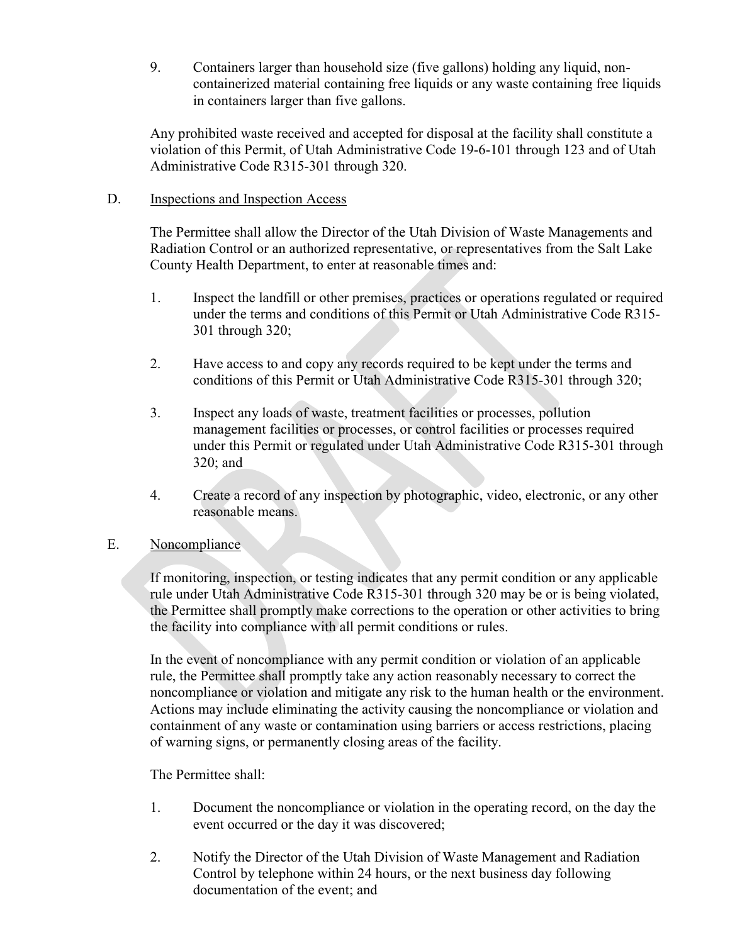9. Containers larger than household size (five gallons) holding any liquid, noncontainerized material containing free liquids or any waste containing free liquids in containers larger than five gallons.

Any prohibited waste received and accepted for disposal at the facility shall constitute a violation of this Permit, of Utah Administrative Code 19-6-101 through 123 and of Utah Administrative Code R315-301 through 320.

### D. Inspections and Inspection Access

The Permittee shall allow the Director of the Utah Division of Waste Managements and Radiation Control or an authorized representative, or representatives from the Salt Lake County Health Department, to enter at reasonable times and:

- 1. Inspect the landfill or other premises, practices or operations regulated or required under the terms and conditions of this Permit or Utah Administrative Code R315- 301 through 320;
- 2. Have access to and copy any records required to be kept under the terms and conditions of this Permit or Utah Administrative Code R315-301 through 320;
- 3. Inspect any loads of waste, treatment facilities or processes, pollution management facilities or processes, or control facilities or processes required under this Permit or regulated under Utah Administrative Code R315-301 through 320; and
- 4. Create a record of any inspection by photographic, video, electronic, or any other reasonable means.

## E. Noncompliance

If monitoring, inspection, or testing indicates that any permit condition or any applicable rule under Utah Administrative Code R315-301 through 320 may be or is being violated, the Permittee shall promptly make corrections to the operation or other activities to bring the facility into compliance with all permit conditions or rules.

In the event of noncompliance with any permit condition or violation of an applicable rule, the Permittee shall promptly take any action reasonably necessary to correct the noncompliance or violation and mitigate any risk to the human health or the environment. Actions may include eliminating the activity causing the noncompliance or violation and containment of any waste or contamination using barriers or access restrictions, placing of warning signs, or permanently closing areas of the facility.

The Permittee shall:

- 1. Document the noncompliance or violation in the operating record, on the day the event occurred or the day it was discovered;
- 2. Notify the Director of the Utah Division of Waste Management and Radiation Control by telephone within 24 hours, or the next business day following documentation of the event; and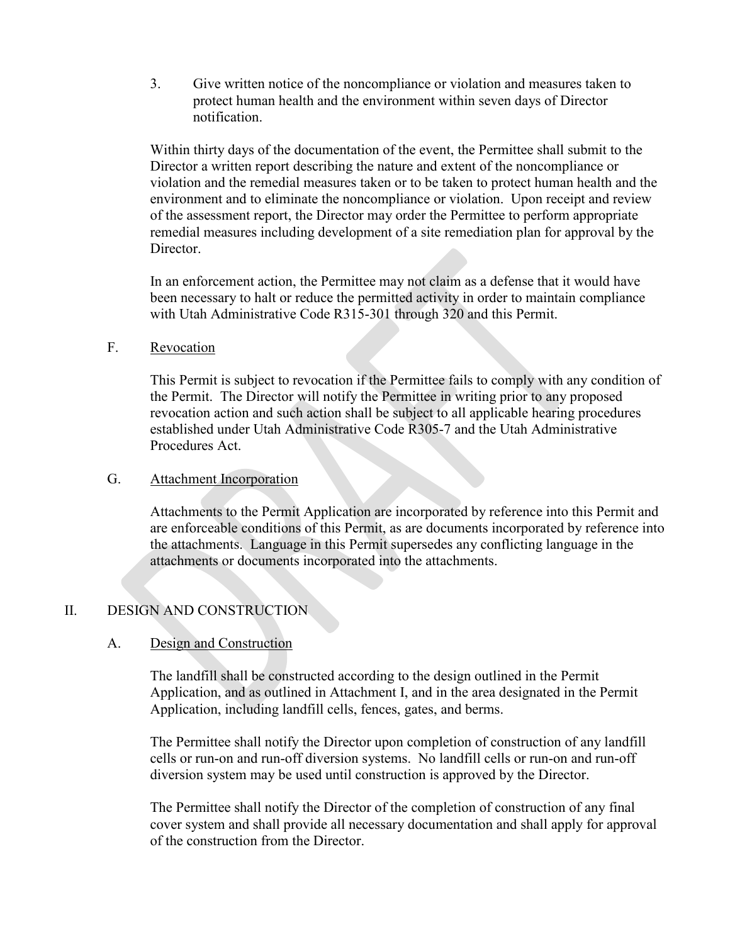3. Give written notice of the noncompliance or violation and measures taken to protect human health and the environment within seven days of Director notification.

Within thirty days of the documentation of the event, the Permittee shall submit to the Director a written report describing the nature and extent of the noncompliance or violation and the remedial measures taken or to be taken to protect human health and the environment and to eliminate the noncompliance or violation. Upon receipt and review of the assessment report, the Director may order the Permittee to perform appropriate remedial measures including development of a site remediation plan for approval by the Director.

In an enforcement action, the Permittee may not claim as a defense that it would have been necessary to halt or reduce the permitted activity in order to maintain compliance with Utah Administrative Code R315-301 through 320 and this Permit.

### F. Revocation

This Permit is subject to revocation if the Permittee fails to comply with any condition of the Permit. The Director will notify the Permittee in writing prior to any proposed revocation action and such action shall be subject to all applicable hearing procedures established under Utah Administrative Code R305-7 and the Utah Administrative Procedures Act.

### G. Attachment Incorporation

Attachments to the Permit Application are incorporated by reference into this Permit and are enforceable conditions of this Permit, as are documents incorporated by reference into the attachments. Language in this Permit supersedes any conflicting language in the attachments or documents incorporated into the attachments.

## II. DESIGN AND CONSTRUCTION

#### A. Design and Construction

The landfill shall be constructed according to the design outlined in the Permit Application, and as outlined in Attachment I, and in the area designated in the Permit Application, including landfill cells, fences, gates, and berms.

The Permittee shall notify the Director upon completion of construction of any landfill cells or run-on and run-off diversion systems. No landfill cells or run-on and run-off diversion system may be used until construction is approved by the Director.

The Permittee shall notify the Director of the completion of construction of any final cover system and shall provide all necessary documentation and shall apply for approval of the construction from the Director.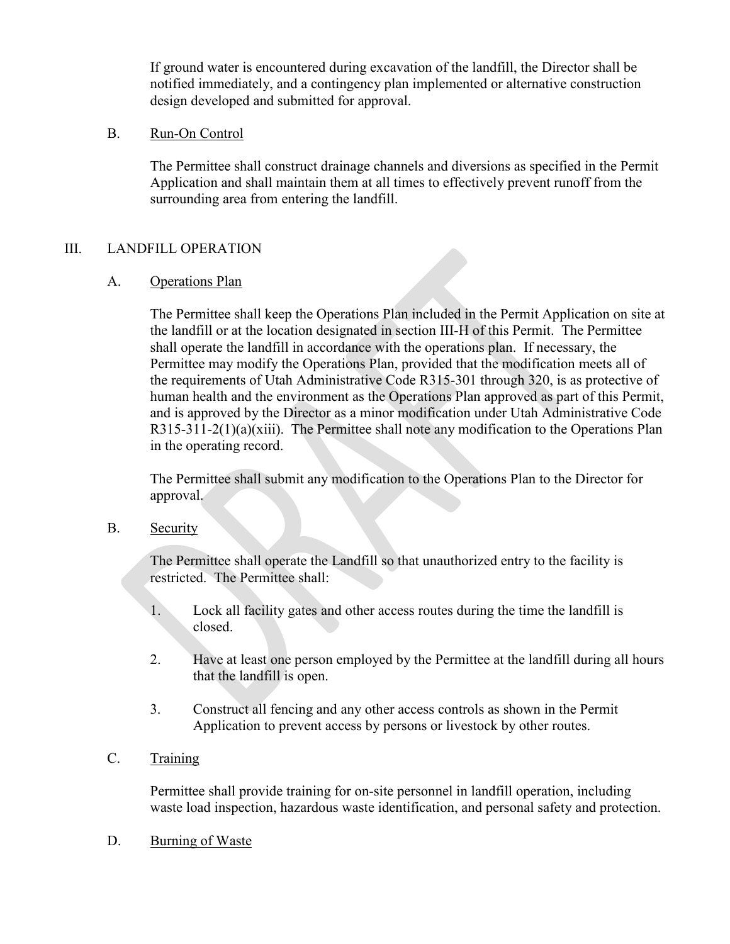If ground water is encountered during excavation of the landfill, the Director shall be notified immediately, and a contingency plan implemented or alternative construction design developed and submitted for approval.

### B. Run-On Control

The Permittee shall construct drainage channels and diversions as specified in the Permit Application and shall maintain them at all times to effectively prevent runoff from the surrounding area from entering the landfill.

## III. LANDFILL OPERATION

## A. Operations Plan

The Permittee shall keep the Operations Plan included in the Permit Application on site at the landfill or at the location designated in section III-H of this Permit. The Permittee shall operate the landfill in accordance with the operations plan. If necessary, the Permittee may modify the Operations Plan, provided that the modification meets all of the requirements of Utah Administrative Code R315-301 through 320, is as protective of human health and the environment as the Operations Plan approved as part of this Permit, and is approved by the Director as a minor modification under Utah Administrative Code R315-311-2(1)(a)(xiii). The Permittee shall note any modification to the Operations Plan in the operating record.

The Permittee shall submit any modification to the Operations Plan to the Director for approval.

## B. Security

The Permittee shall operate the Landfill so that unauthorized entry to the facility is restricted. The Permittee shall:

- 1. Lock all facility gates and other access routes during the time the landfill is closed.
- 2. Have at least one person employed by the Permittee at the landfill during all hours that the landfill is open.
- 3. Construct all fencing and any other access controls as shown in the Permit Application to prevent access by persons or livestock by other routes.

## C. Training

Permittee shall provide training for on-site personnel in landfill operation, including waste load inspection, hazardous waste identification, and personal safety and protection.

#### D. Burning of Waste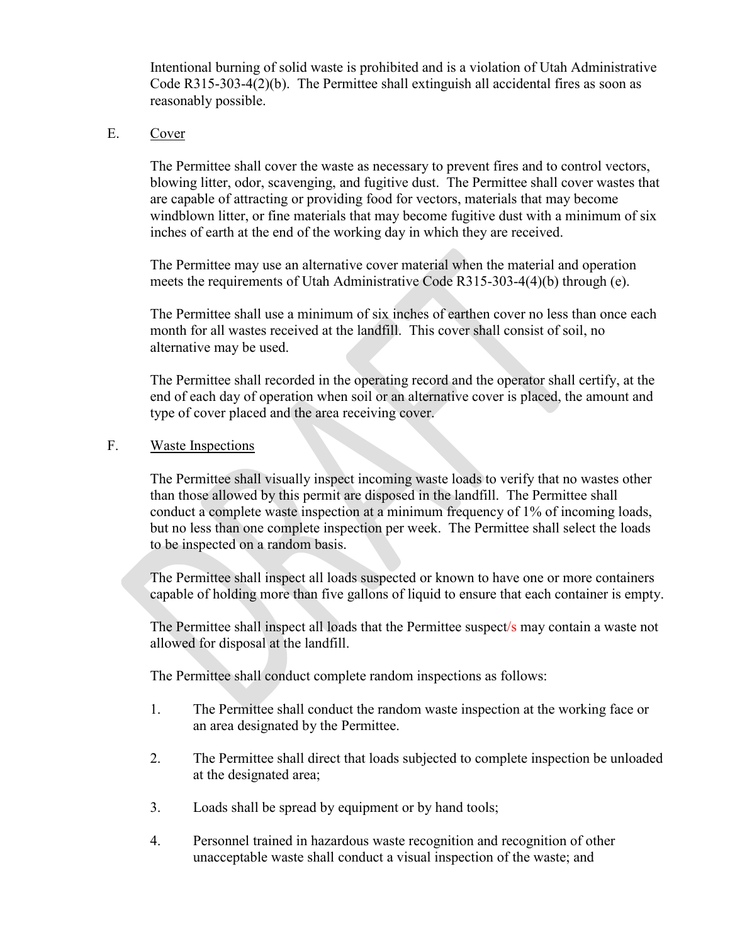Intentional burning of solid waste is prohibited and is a violation of Utah Administrative Code R315-303-4(2)(b). The Permittee shall extinguish all accidental fires as soon as reasonably possible.

#### E. Cover

The Permittee shall cover the waste as necessary to prevent fires and to control vectors, blowing litter, odor, scavenging, and fugitive dust. The Permittee shall cover wastes that are capable of attracting or providing food for vectors, materials that may become windblown litter, or fine materials that may become fugitive dust with a minimum of six inches of earth at the end of the working day in which they are received.

The Permittee may use an alternative cover material when the material and operation meets the requirements of Utah Administrative Code R315-303-4(4)(b) through (e).

The Permittee shall use a minimum of six inches of earthen cover no less than once each month for all wastes received at the landfill. This cover shall consist of soil, no alternative may be used.

The Permittee shall recorded in the operating record and the operator shall certify, at the end of each day of operation when soil or an alternative cover is placed, the amount and type of cover placed and the area receiving cover.

#### F. Waste Inspections

The Permittee shall visually inspect incoming waste loads to verify that no wastes other than those allowed by this permit are disposed in the landfill. The Permittee shall conduct a complete waste inspection at a minimum frequency of 1% of incoming loads, but no less than one complete inspection per week. The Permittee shall select the loads to be inspected on a random basis.

The Permittee shall inspect all loads suspected or known to have one or more containers capable of holding more than five gallons of liquid to ensure that each container is empty.

The Permittee shall inspect all loads that the Permittee suspect/s may contain a waste not allowed for disposal at the landfill.

The Permittee shall conduct complete random inspections as follows:

- 1. The Permittee shall conduct the random waste inspection at the working face or an area designated by the Permittee.
- 2. The Permittee shall direct that loads subjected to complete inspection be unloaded at the designated area;
- 3. Loads shall be spread by equipment or by hand tools;
- 4. Personnel trained in hazardous waste recognition and recognition of other unacceptable waste shall conduct a visual inspection of the waste; and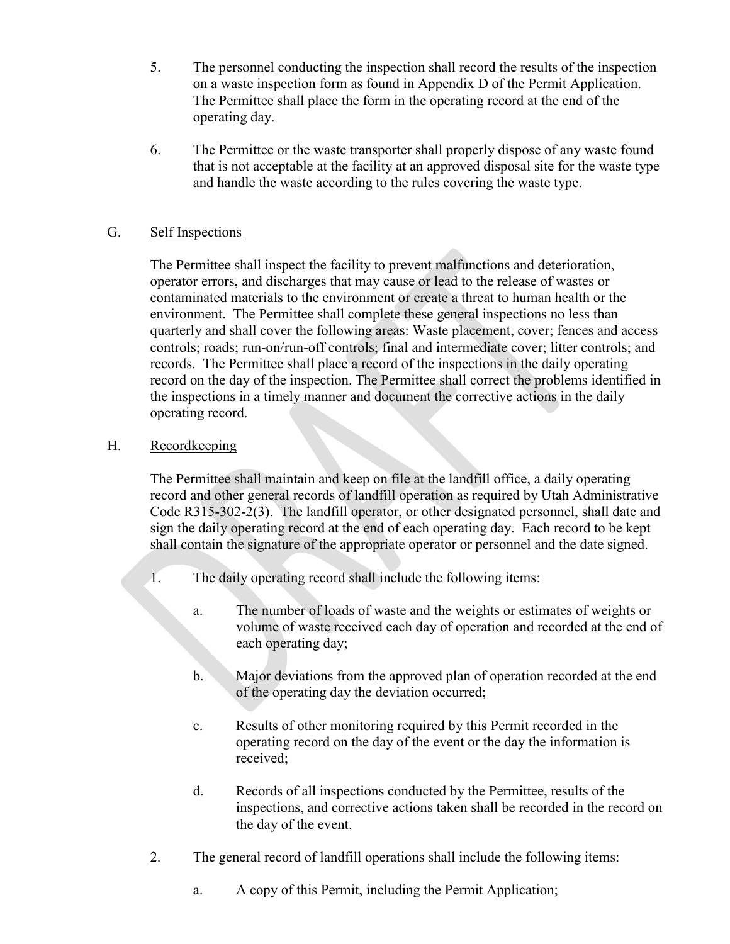- 5. The personnel conducting the inspection shall record the results of the inspection on a waste inspection form as found in Appendix D of the Permit Application. The Permittee shall place the form in the operating record at the end of the operating day.
- 6. The Permittee or the waste transporter shall properly dispose of any waste found that is not acceptable at the facility at an approved disposal site for the waste type and handle the waste according to the rules covering the waste type.

## G. Self Inspections

The Permittee shall inspect the facility to prevent malfunctions and deterioration, operator errors, and discharges that may cause or lead to the release of wastes or contaminated materials to the environment or create a threat to human health or the environment. The Permittee shall complete these general inspections no less than quarterly and shall cover the following areas: Waste placement, cover; fences and access controls; roads; run-on/run-off controls; final and intermediate cover; litter controls; and records. The Permittee shall place a record of the inspections in the daily operating record on the day of the inspection. The Permittee shall correct the problems identified in the inspections in a timely manner and document the corrective actions in the daily operating record.

## H. Recordkeeping

The Permittee shall maintain and keep on file at the landfill office, a daily operating record and other general records of landfill operation as required by Utah Administrative Code R315-302-2(3). The landfill operator, or other designated personnel, shall date and sign the daily operating record at the end of each operating day. Each record to be kept shall contain the signature of the appropriate operator or personnel and the date signed.

- 1. The daily operating record shall include the following items:
	- a. The number of loads of waste and the weights or estimates of weights or volume of waste received each day of operation and recorded at the end of each operating day;
	- b. Major deviations from the approved plan of operation recorded at the end of the operating day the deviation occurred;
	- c. Results of other monitoring required by this Permit recorded in the operating record on the day of the event or the day the information is received;
	- d. Records of all inspections conducted by the Permittee, results of the inspections, and corrective actions taken shall be recorded in the record on the day of the event.
- 2. The general record of landfill operations shall include the following items:
	- a. A copy of this Permit, including the Permit Application;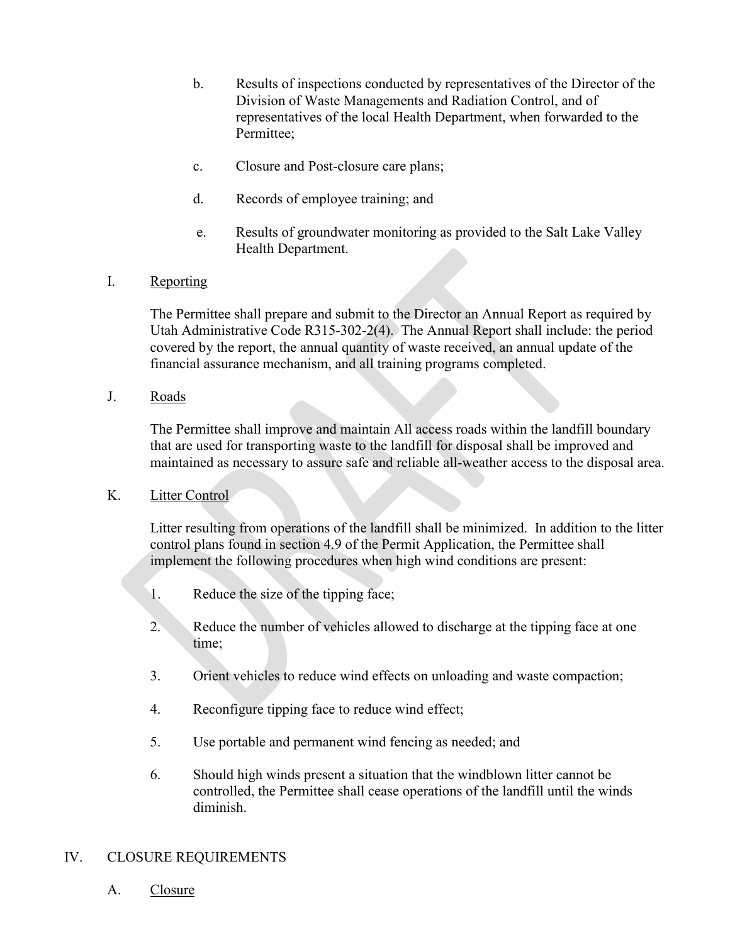- b. Results of inspections conducted by representatives of the Director of the Division of Waste Managements and Radiation Control, and of representatives of the local Health Department, when forwarded to the Permittee;
- c. Closure and Post-closure care plans;
- d. Records of employee training; and
- e. Results of groundwater monitoring as provided to the Salt Lake Valley Health Department.
- I. Reporting

The Permittee shall prepare and submit to the Director an Annual Report as required by Utah Administrative Code R315-302-2(4). The Annual Report shall include: the period covered by the report, the annual quantity of waste received, an annual update of the financial assurance mechanism, and all training programs completed.

J. Roads

The Permittee shall improve and maintain All access roads within the landfill boundary that are used for transporting waste to the landfill for disposal shall be improved and maintained as necessary to assure safe and reliable all-weather access to the disposal area.

K. Litter Control

Litter resulting from operations of the landfill shall be minimized. In addition to the litter control plans found in section 4.9 of the Permit Application, the Permittee shall implement the following procedures when high wind conditions are present:

- 1. Reduce the size of the tipping face;
- 2. Reduce the number of vehicles allowed to discharge at the tipping face at one time;
- 3. Orient vehicles to reduce wind effects on unloading and waste compaction;
- 4. Reconfigure tipping face to reduce wind effect;
- 5. Use portable and permanent wind fencing as needed; and
- 6. Should high winds present a situation that the windblown litter cannot be controlled, the Permittee shall cease operations of the landfill until the winds diminish.

## IV. CLOSURE REQUIREMENTS

A. Closure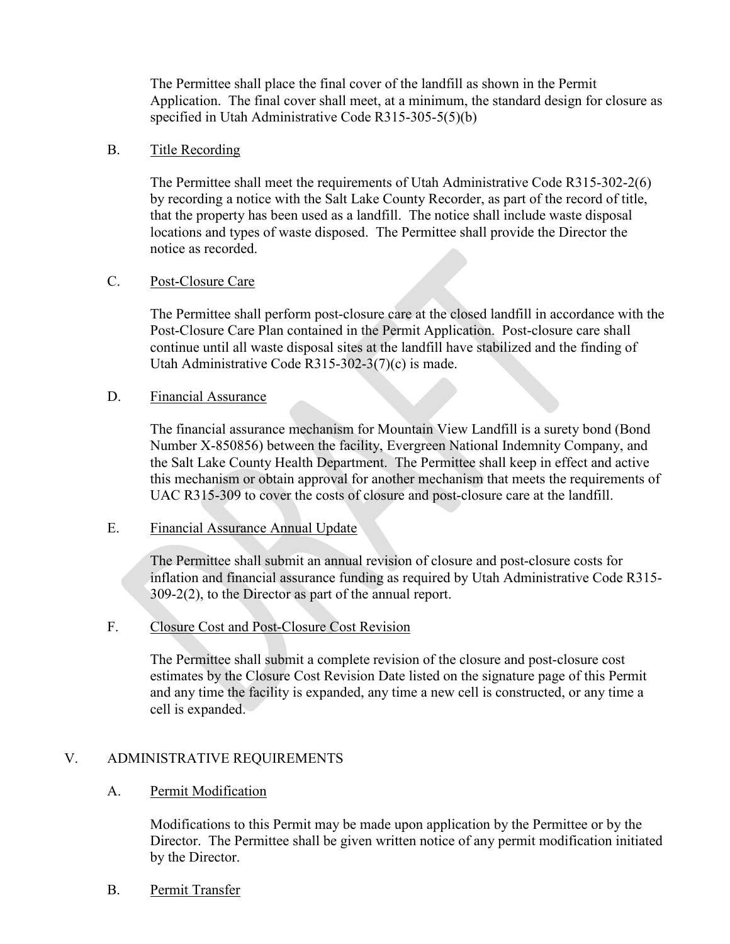The Permittee shall place the final cover of the landfill as shown in the Permit Application. The final cover shall meet, at a minimum, the standard design for closure as specified in Utah Administrative Code R315-305-5(5)(b)

#### B. Title Recording

The Permittee shall meet the requirements of Utah Administrative Code R315-302-2(6) by recording a notice with the Salt Lake County Recorder, as part of the record of title, that the property has been used as a landfill. The notice shall include waste disposal locations and types of waste disposed. The Permittee shall provide the Director the notice as recorded.

### C. Post-Closure Care

The Permittee shall perform post-closure care at the closed landfill in accordance with the Post-Closure Care Plan contained in the Permit Application. Post-closure care shall continue until all waste disposal sites at the landfill have stabilized and the finding of Utah Administrative Code R315-302-3(7)(c) is made.

#### D. Financial Assurance

The financial assurance mechanism for Mountain View Landfill is a surety bond (Bond Number X-850856) between the facility, Evergreen National Indemnity Company, and the Salt Lake County Health Department. The Permittee shall keep in effect and active this mechanism or obtain approval for another mechanism that meets the requirements of UAC R315-309 to cover the costs of closure and post-closure care at the landfill.

### E. Financial Assurance Annual Update

The Permittee shall submit an annual revision of closure and post-closure costs for inflation and financial assurance funding as required by Utah Administrative Code R315- 309-2(2), to the Director as part of the annual report.

## F. Closure Cost and Post-Closure Cost Revision

The Permittee shall submit a complete revision of the closure and post-closure cost estimates by the Closure Cost Revision Date listed on the signature page of this Permit and any time the facility is expanded, any time a new cell is constructed, or any time a cell is expanded.

## V. ADMINISTRATIVE REQUIREMENTS

#### A. Permit Modification

Modifications to this Permit may be made upon application by the Permittee or by the Director. The Permittee shall be given written notice of any permit modification initiated by the Director.

B. Permit Transfer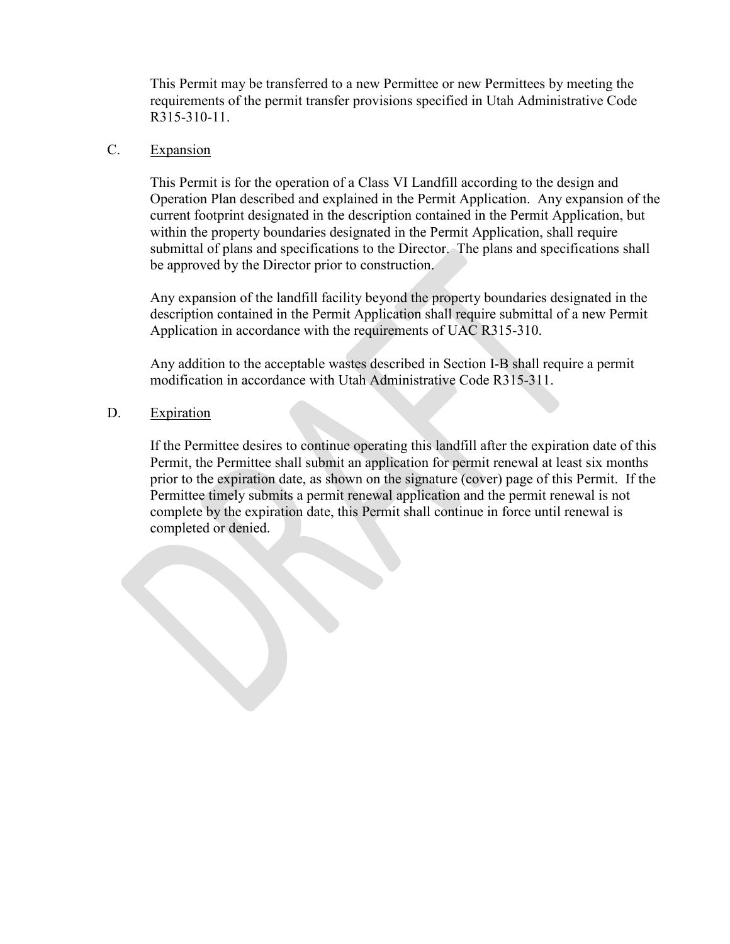This Permit may be transferred to a new Permittee or new Permittees by meeting the requirements of the permit transfer provisions specified in Utah Administrative Code R315-310-11.

## C. Expansion

This Permit is for the operation of a Class VI Landfill according to the design and Operation Plan described and explained in the Permit Application. Any expansion of the current footprint designated in the description contained in the Permit Application, but within the property boundaries designated in the Permit Application, shall require submittal of plans and specifications to the Director. The plans and specifications shall be approved by the Director prior to construction.

Any expansion of the landfill facility beyond the property boundaries designated in the description contained in the Permit Application shall require submittal of a new Permit Application in accordance with the requirements of UAC R315-310.

Any addition to the acceptable wastes described in Section I-B shall require a permit modification in accordance with Utah Administrative Code R315-311.

#### D. Expiration

If the Permittee desires to continue operating this landfill after the expiration date of this Permit, the Permittee shall submit an application for permit renewal at least six months prior to the expiration date, as shown on the signature (cover) page of this Permit. If the Permittee timely submits a permit renewal application and the permit renewal is not complete by the expiration date, this Permit shall continue in force until renewal is completed or denied.